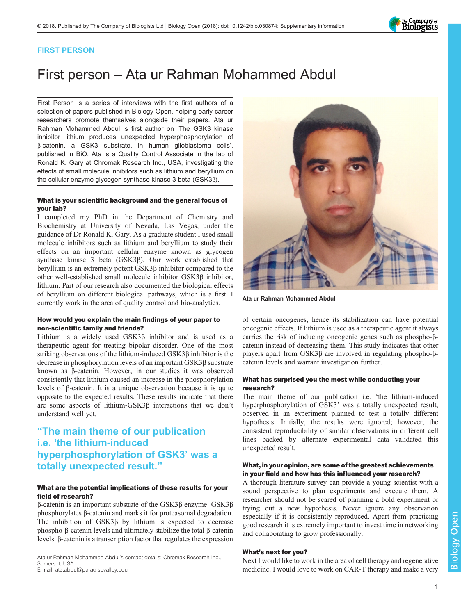The Company of<br>**Biologists** 

## FIRST PERSON

# First person – Ata ur Rahman Mohammed Abdul

First Person is a series of interviews with the first authors of a selection of papers published in Biology Open, helping early-career researchers promote themselves alongside their papers. Ata ur Rahman Mohammed Abdul is first author on '[The GSK3 kinase](https://doi.org/10.1242/bio.030874) [inhibitor lithium produces unexpected hyperphosphorylation of](https://doi.org/10.1242/bio.030874) β[-catenin, a GSK3 substrate, in human glioblastoma cells](https://doi.org/10.1242/bio.030874)', published in BiO. Ata is a Quality Control Associate in the lab of Ronald K. Gary at Chromak Research Inc., USA, investigating the effects of small molecule inhibitors such as lithium and beryllium on the cellular enzyme glycogen synthase kinase 3 beta (GSK3β).

#### What is your scientific background and the general focus of your lab?

I completed my PhD in the Department of Chemistry and Biochemistry at University of Nevada, Las Vegas, under the guidance of Dr Ronald K. Gary. As a graduate student I used small molecule inhibitors such as lithium and beryllium to study their effects on an important cellular enzyme known as glycogen synthase kinase 3 beta (GSK3β). Our work established that beryllium is an extremely potent GSK3β inhibitor compared to the other well-established small molecule inhibitor GSK3β inhibitor, lithium. Part of our research also documented the biological effects of beryllium on different biological pathways, which is a first. I currently work in the area of quality control and bio-analytics.

#### How would you explain the main findings of your paper to non-scientific family and friends?

Lithium is a widely used GSK3β inhibitor and is used as a therapeutic agent for treating bipolar disorder. One of the most striking observations of the lithium-induced GSK3β inhibitor is the decrease in phosphorylation levels of an important GSK3β substrate known as β-catenin. However, in our studies it was observed consistently that lithium caused an increase in the phosphorylation levels of β-catenin. It is a unique observation because it is quite opposite to the expected results. These results indicate that there are some aspects of lithium-GSK3β interactions that we don't understand well yet.

# "The main theme of our publication i.e. 'the lithium-induced hyperphosphorylation of GSK3' was a totally unexpected result."

#### What are the potential implications of these results for your field of research?

β-catenin is an important substrate of the GSK3β enzyme. GSK3β phosphorylates β-catenin and marks it for proteasomal degradation. The inhibition of GSK3β by lithium is expected to decrease phospho-β-catenin levels and ultimately stabilize the total β-catenin levels. β-catenin is a transcription factor that regulates the expression

Ata ur Rahman Mohammed Abdul's contact details: Chromak Research Inc., Somerset, USA

E-mail: [ata.abdul@paradisevalley.edu](mailto:ata.abdul@paradisevalley.edu)



Ata ur Rahman Mohammed Abdul

of certain oncogenes, hence its stabilization can have potential oncogenic effects. If lithium is used as a therapeutic agent it always carries the risk of inducing oncogenic genes such as phospho-βcatenin instead of decreasing them. This study indicates that other players apart from GSK3β are involved in regulating phospho-βcatenin levels and warrant investigation further.

#### What has surprised you the most while conducting your research?

The main theme of our publication i.e. 'the lithium-induced hyperphosphorylation of GSK3' was a totally unexpected result, observed in an experiment planned to test a totally different hypothesis. Initially, the results were ignored; however, the consistent reproducibility of similar observations in different cell lines backed by alternate experimental data validated this unexpected result.

#### What, in your opinion, are some of the greatest achievements in your field and how has this influenced your research?

A thorough literature survey can provide a young scientist with a sound perspective to plan experiments and execute them. A researcher should not be scared of planning a bold experiment or trying out a new hypothesis. Never ignore any observation especially if it is consistently reproduced. Apart from practicing good research it is extremely important to invest time in networking and collaborating to grow professionally.

#### What's next for you?

Next I would like to work in the area of cell therapy and regenerative medicine. I would love to work on CAR-T therapy and make a very